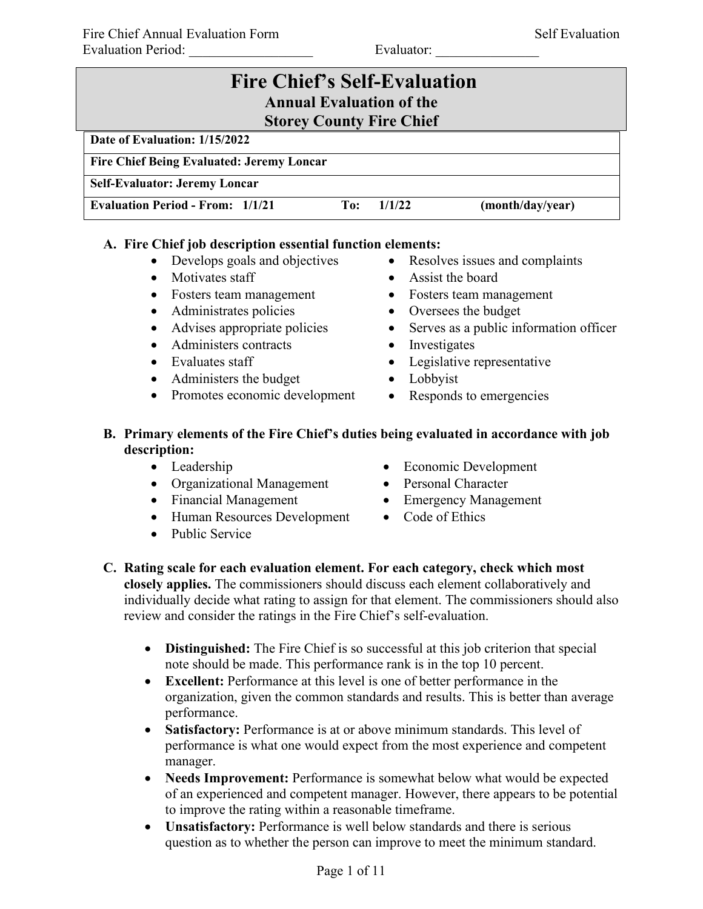| <b>Fire Chief's Self-Evaluation</b><br><b>Annual Evaluation of the</b>       |
|------------------------------------------------------------------------------|
| <b>Storey County Fire Chief</b>                                              |
| Date of Evaluation: 1/15/2022                                                |
| <b>Fire Chief Being Evaluated: Jeremy Loncar</b>                             |
| <b>Self-Evaluator: Jeremy Loncar</b>                                         |
| <b>Evaluation Period - From: 1/1/21</b><br>(month/day/year)<br>1/1/22<br>To: |

### **A. Fire Chief job description essential function elements:**

- Develops goals and objectives
- Motivates staff
- Fosters team management
- Administrates policies
- Advises appropriate policies
- Administers contracts
- Evaluates staff
- Administers the budget
- Promotes economic development
- Resolves issues and complaints
- Assist the board
- Fosters team management
- Oversees the budget
- Serves as a public information officer
- Investigates
- Legislative representative
- Lobbyist
- Responds to emergencies
- **B. Primary elements of the Fire Chief's duties being evaluated in accordance with job description:**
	- Leadership
	- Organizational Management
	- Financial Management
	- Human Resources Development
	- Public Service
- Economic Development
- Personal Character
- Emergency Management
- Code of Ethics
- **C. Rating scale for each evaluation element. For each category, check which most closely applies.** The commissioners should discuss each element collaboratively and individually decide what rating to assign for that element. The commissioners should also review and consider the ratings in the Fire Chief's self-evaluation.
	- **Distinguished:** The Fire Chief is so successful at this job criterion that special note should be made. This performance rank is in the top 10 percent.
	- **Excellent:** Performance at this level is one of better performance in the organization, given the common standards and results. This is better than average performance.
	- **Satisfactory:** Performance is at or above minimum standards. This level of performance is what one would expect from the most experience and competent manager.
	- **Needs Improvement:** Performance is somewhat below what would be expected of an experienced and competent manager. However, there appears to be potential to improve the rating within a reasonable timeframe.
	- **Unsatisfactory:** Performance is well below standards and there is serious question as to whether the person can improve to meet the minimum standard.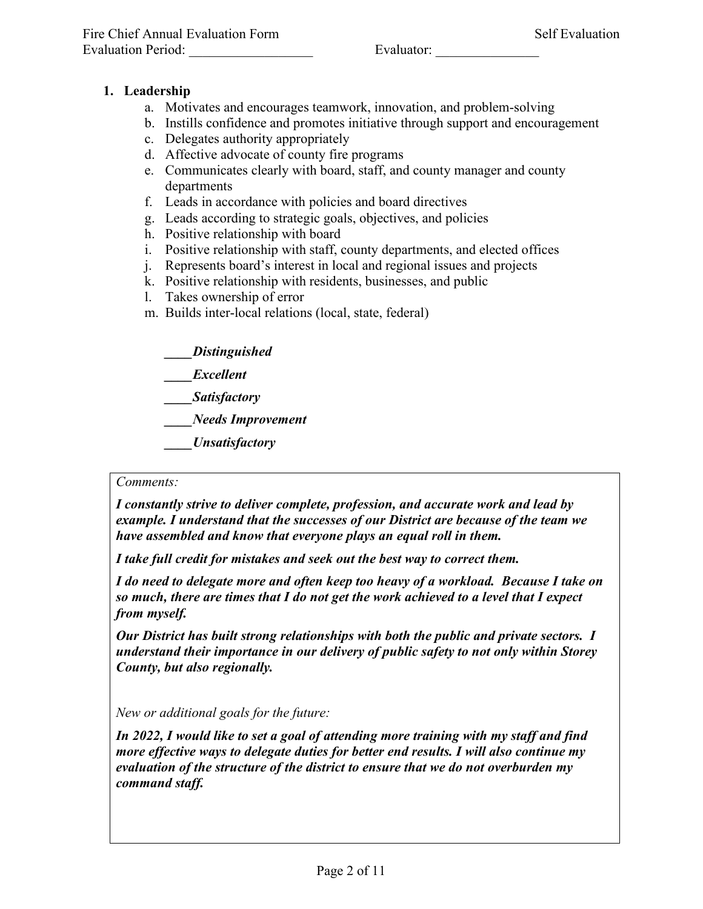# **1. Leadership**

- a. Motivates and encourages teamwork, innovation, and problem-solving
- b. Instills confidence and promotes initiative through support and encouragement
- c. Delegates authority appropriately
- d. Affective advocate of county fire programs
- e. Communicates clearly with board, staff, and county manager and county departments
- f. Leads in accordance with policies and board directives
- g. Leads according to strategic goals, objectives, and policies
- h. Positive relationship with board
- i. Positive relationship with staff, county departments, and elected offices
- j. Represents board's interest in local and regional issues and projects
- k. Positive relationship with residents, businesses, and public
- l. Takes ownership of error
- m. Builds inter-local relations (local, state, federal)

*\_\_\_\_Distinguished*

- *\_\_\_\_Excellent*
- *\_\_\_\_Satisfactory*

*\_\_\_\_Needs Improvement*

*\_\_\_\_Unsatisfactory*

### *Comments:*

*I constantly strive to deliver complete, profession, and accurate work and lead by example. I understand that the successes of our District are because of the team we have assembled and know that everyone plays an equal roll in them.*

*I take full credit for mistakes and seek out the best way to correct them.*

*I do need to delegate more and often keep too heavy of a workload. Because I take on so much, there are times that I do not get the work achieved to a level that I expect from myself.* 

*Our District has built strong relationships with both the public and private sectors. I understand their importance in our delivery of public safety to not only within Storey County, but also regionally.*

*New or additional goals for the future:*

*In 2022, I would like to set a goal of attending more training with my staff and find more effective ways to delegate duties for better end results. I will also continue my evaluation of the structure of the district to ensure that we do not overburden my command staff.*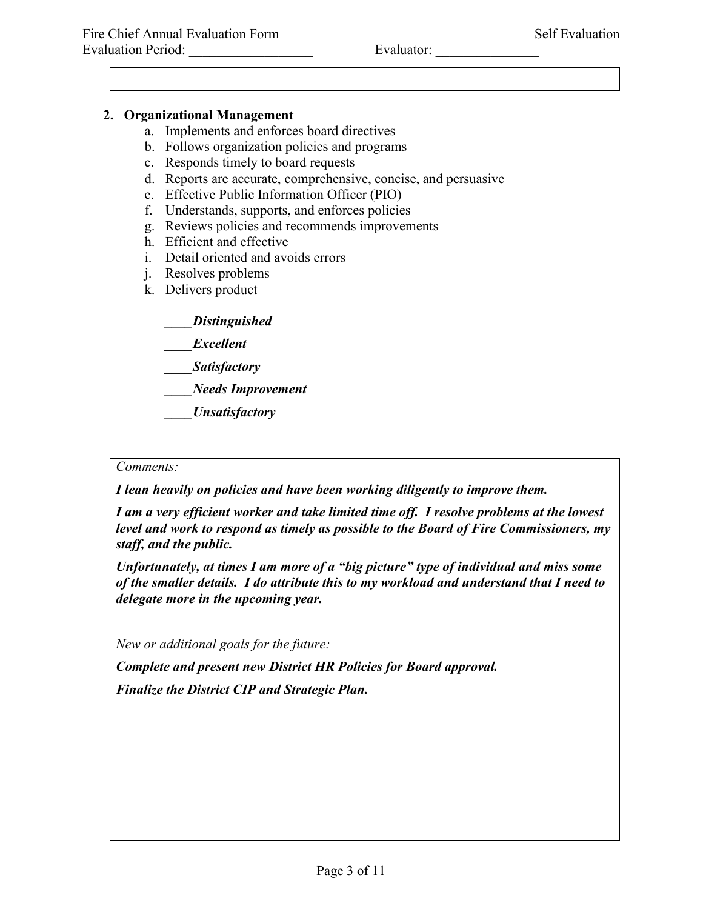# **2. Organizational Management**

- a. Implements and enforces board directives
- b. Follows organization policies and programs
- c. Responds timely to board requests
- d. Reports are accurate, comprehensive, concise, and persuasive
- e. Effective Public Information Officer (PIO)
- f. Understands, supports, and enforces policies
- g. Reviews policies and recommends improvements
- h. Efficient and effective
- i. Detail oriented and avoids errors
- j. Resolves problems
- k. Delivers product

*\_\_\_\_Distinguished*

- *\_\_\_\_Excellent*
- *\_\_\_\_Satisfactory*
- *\_\_\_\_Needs Improvement*
- *\_\_\_\_Unsatisfactory*

### *Comments:*

*I lean heavily on policies and have been working diligently to improve them.* 

*I am a very efficient worker and take limited time off. I resolve problems at the lowest level and work to respond as timely as possible to the Board of Fire Commissioners, my staff, and the public.*

*Unfortunately, at times I am more of a "big picture" type of individual and miss some of the smaller details. I do attribute this to my workload and understand that I need to delegate more in the upcoming year.* 

*New or additional goals for the future:*

*Complete and present new District HR Policies for Board approval. Finalize the District CIP and Strategic Plan.*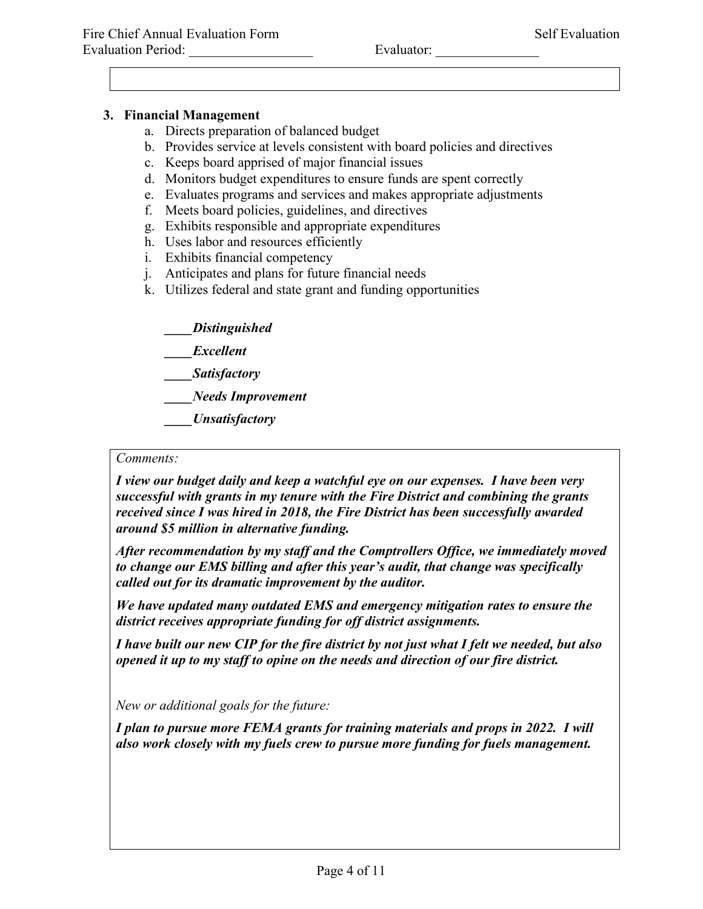## **3. Financial Management**

- a. Directs preparation of balanced budget
- b. Provides service at levels consistent with board policies and directives
- c. Keeps board apprised of major financial issues
- d. Monitors budget expenditures to ensure funds are spent correctly
- e. Evaluates programs and services and makes appropriate adjustments
- f. Meets board policies, guidelines, and directives
- g. Exhibits responsible and appropriate expenditures
- h. Uses labor and resources efficiently
- i. Exhibits financial competency
- j. Anticipates and plans for future financial needs
- k. Utilizes federal and state grant and funding opportunities

*\_\_\_\_Distinguished*

*\_\_\_\_Excellent*

*\_\_\_\_Satisfactory*

*\_\_\_\_Needs Improvement*

*\_\_\_\_Unsatisfactory*

### *Comments:*

*I view our budget daily and keep a watchful eye on our expenses. I have been very successful with grants in my tenure with the Fire District and combining the grants received since I was hired in 2018, the Fire District has been successfully awarded around \$5 million in alternative funding.*

*After recommendation by my staff and the Comptrollers Office, we immediately moved to change our EMS billing and after this year's audit, that change was specifically called out for its dramatic improvement by the auditor.* 

*We have updated many outdated EMS and emergency mitigation rates to ensure the district receives appropriate funding for off district assignments.* 

*I have built our new CIP for the fire district by not just what I felt we needed, but also opened it up to my staff to opine on the needs and direction of our fire district.* 

*New or additional goals for the future:*

*I plan to pursue more FEMA grants for training materials and props in 2022. I will also work closely with my fuels crew to pursue more funding for fuels management.*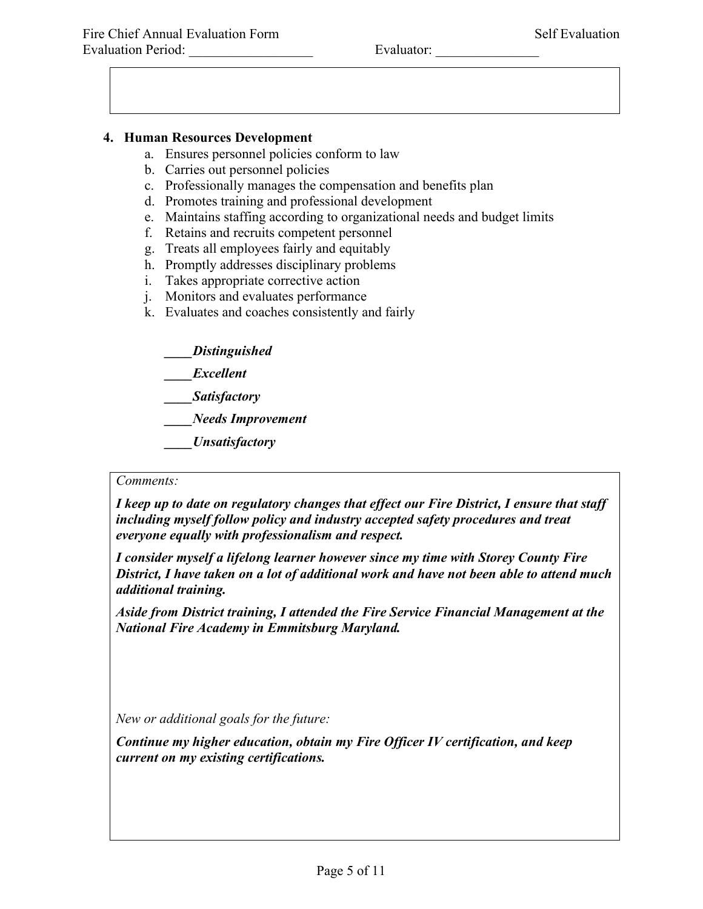## **4. Human Resources Development**

- a. Ensures personnel policies conform to law
- b. Carries out personnel policies
- c. Professionally manages the compensation and benefits plan
- d. Promotes training and professional development
- e. Maintains staffing according to organizational needs and budget limits
- f. Retains and recruits competent personnel
- g. Treats all employees fairly and equitably
- h. Promptly addresses disciplinary problems
- i. Takes appropriate corrective action
- j. Monitors and evaluates performance
- k. Evaluates and coaches consistently and fairly
	- *\_\_\_\_Distinguished*
	- *\_\_\_\_Excellent*
	- *\_\_\_\_Satisfactory*

*\_\_\_\_Needs Improvement*

*\_\_\_\_Unsatisfactory*

#### *Comments:*

*I keep up to date on regulatory changes that effect our Fire District, I ensure that staff including myself follow policy and industry accepted safety procedures and treat everyone equally with professionalism and respect.* 

*I consider myself a lifelong learner however since my time with Storey County Fire District, I have taken on a lot of additional work and have not been able to attend much additional training.*

*Aside from District training, I attended the Fire Service Financial Management at the National Fire Academy in Emmitsburg Maryland.* 

*New or additional goals for the future:*

*Continue my higher education, obtain my Fire Officer IV certification, and keep current on my existing certifications.*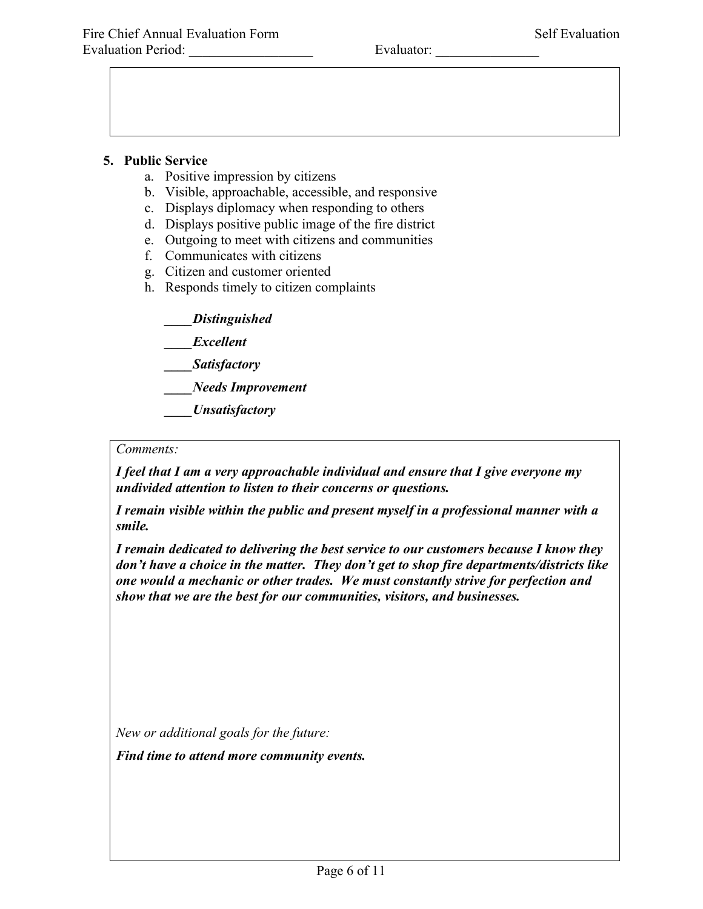#### **5. Public Service**

- a. Positive impression by citizens
- b. Visible, approachable, accessible, and responsive
- c. Displays diplomacy when responding to others
- d. Displays positive public image of the fire district
- e. Outgoing to meet with citizens and communities
- f. Communicates with citizens
- g. Citizen and customer oriented
- h. Responds timely to citizen complaints

*\_\_\_\_Distinguished*

*\_\_\_\_Excellent*

*\_\_\_\_Satisfactory*

*\_\_\_\_Needs Improvement*

*\_\_\_\_Unsatisfactory*

#### *Comments:*

*I feel that I am a very approachable individual and ensure that I give everyone my undivided attention to listen to their concerns or questions.* 

*I remain visible within the public and present myself in a professional manner with a smile.* 

*I remain dedicated to delivering the best service to our customers because I know they don't have a choice in the matter. They don't get to shop fire departments/districts like one would a mechanic or other trades. We must constantly strive for perfection and show that we are the best for our communities, visitors, and businesses.* 

*New or additional goals for the future:*

*Find time to attend more community events.*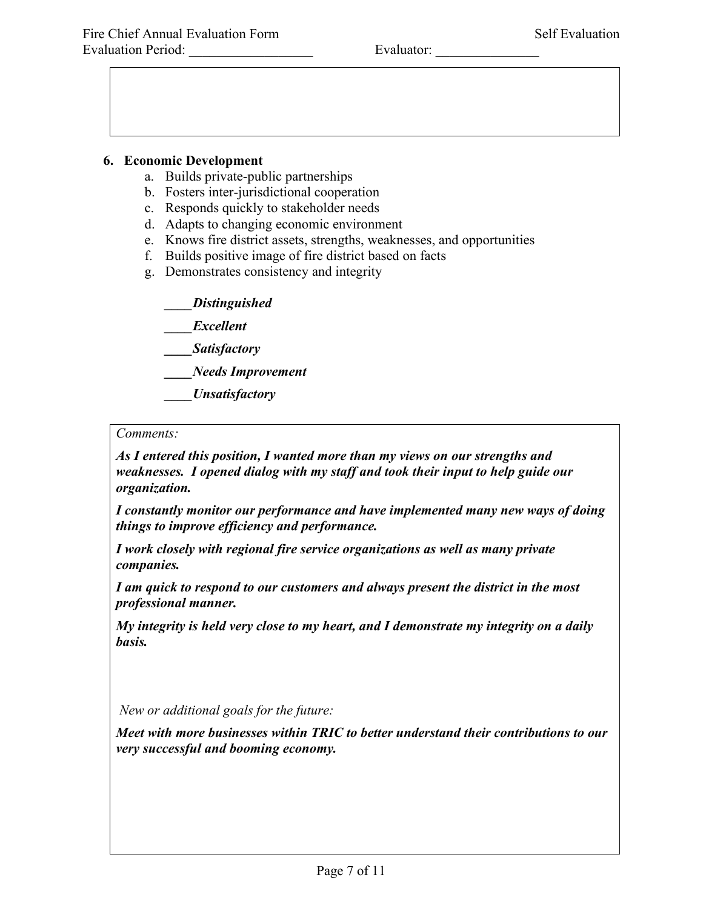### **6. Economic Development**

- a. Builds private-public partnerships
- b. Fosters inter-jurisdictional cooperation
- c. Responds quickly to stakeholder needs
- d. Adapts to changing economic environment
- e. Knows fire district assets, strengths, weaknesses, and opportunities
- f. Builds positive image of fire district based on facts
- g. Demonstrates consistency and integrity

*\_\_\_\_Distinguished*

*\_\_\_\_Excellent*

*\_\_\_\_Satisfactory*

*\_\_\_\_Needs Improvement*

*\_\_\_\_Unsatisfactory*

#### *Comments:*

*As I entered this position, I wanted more than my views on our strengths and weaknesses. I opened dialog with my staff and took their input to help guide our organization.* 

*I constantly monitor our performance and have implemented many new ways of doing things to improve efficiency and performance.* 

*I work closely with regional fire service organizations as well as many private companies.* 

*I am quick to respond to our customers and always present the district in the most professional manner.* 

*My integrity is held very close to my heart, and I demonstrate my integrity on a daily basis.*

*New or additional goals for the future:*

*Meet with more businesses within TRIC to better understand their contributions to our very successful and booming economy.*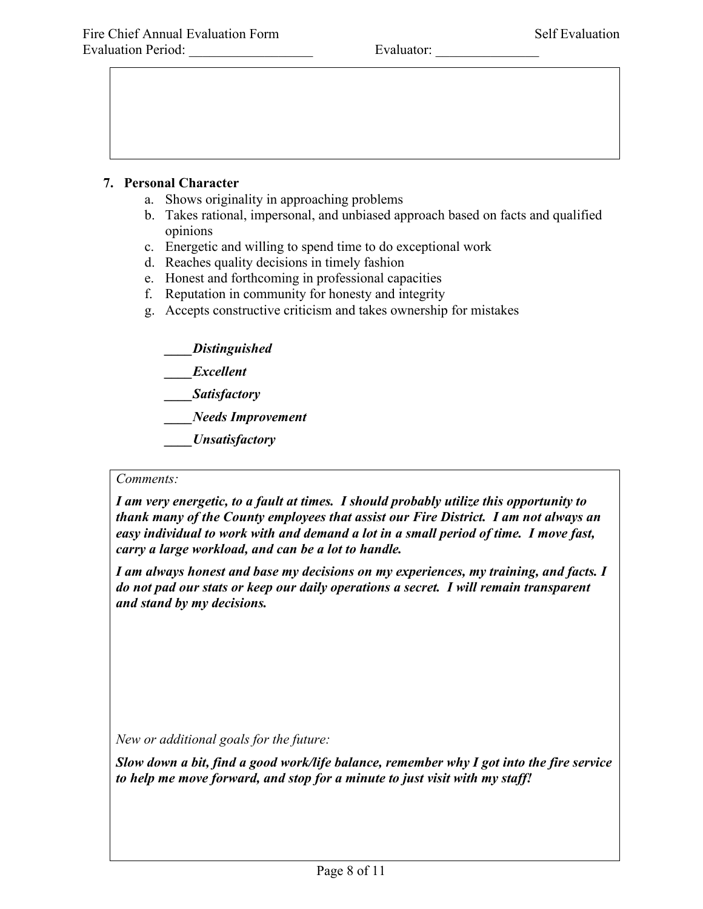## **7. Personal Character**

- a. Shows originality in approaching problems
- b. Takes rational, impersonal, and unbiased approach based on facts and qualified opinions
- c. Energetic and willing to spend time to do exceptional work
- d. Reaches quality decisions in timely fashion
- e. Honest and forthcoming in professional capacities
- f. Reputation in community for honesty and integrity
- g. Accepts constructive criticism and takes ownership for mistakes

*\_\_\_\_Distinguished*

- *\_\_\_\_Excellent*
- *\_\_\_\_Satisfactory*

*\_\_\_\_Needs Improvement*

*\_\_\_\_Unsatisfactory*

#### *Comments:*

*I am very energetic, to a fault at times. I should probably utilize this opportunity to thank many of the County employees that assist our Fire District. I am not always an easy individual to work with and demand a lot in a small period of time. I move fast, carry a large workload, and can be a lot to handle.* 

*I am always honest and base my decisions on my experiences, my training, and facts. I do not pad our stats or keep our daily operations a secret. I will remain transparent and stand by my decisions.* 

*New or additional goals for the future:*

*Slow down a bit, find a good work/life balance, remember why I got into the fire service to help me move forward, and stop for a minute to just visit with my staff!*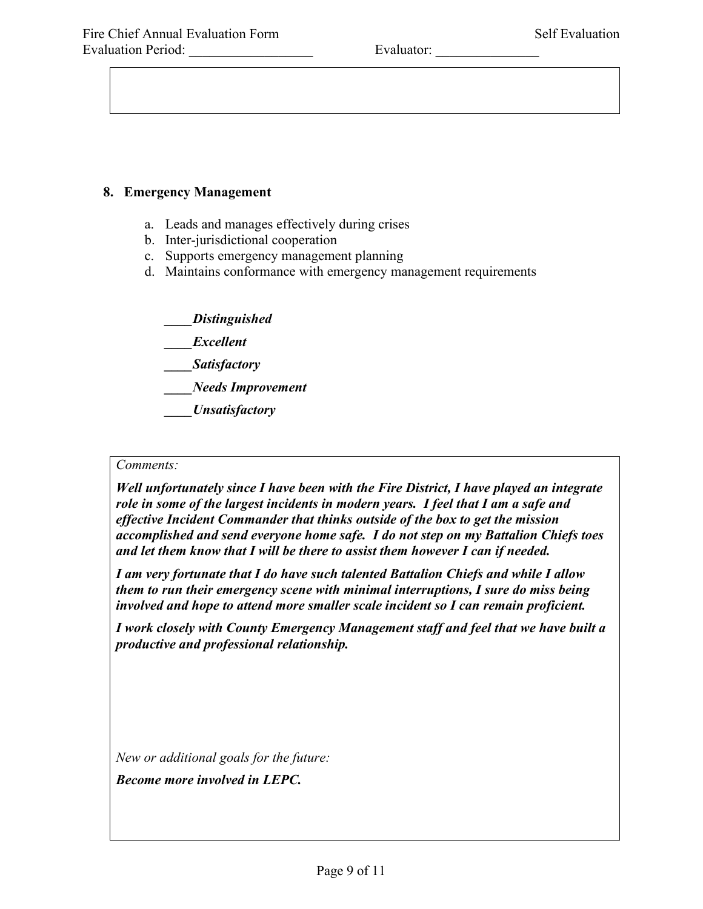### **8. Emergency Management**

- a. Leads and manages effectively during crises
- b. Inter-jurisdictional cooperation
- c. Supports emergency management planning
- d. Maintains conformance with emergency management requirements

*\_\_\_\_Distinguished*

*\_\_\_\_Excellent*

*\_\_\_\_Satisfactory*

*\_\_\_\_Needs Improvement*

*\_\_\_\_Unsatisfactory*

#### *Comments:*

*Well unfortunately since I have been with the Fire District, I have played an integrate role in some of the largest incidents in modern years. I feel that I am a safe and effective Incident Commander that thinks outside of the box to get the mission accomplished and send everyone home safe. I do not step on my Battalion Chiefs toes and let them know that I will be there to assist them however I can if needed.* 

*I am very fortunate that I do have such talented Battalion Chiefs and while I allow them to run their emergency scene with minimal interruptions, I sure do miss being involved and hope to attend more smaller scale incident so I can remain proficient.* 

*I work closely with County Emergency Management staff and feel that we have built a productive and professional relationship.* 

*New or additional goals for the future:*

*Become more involved in LEPC.*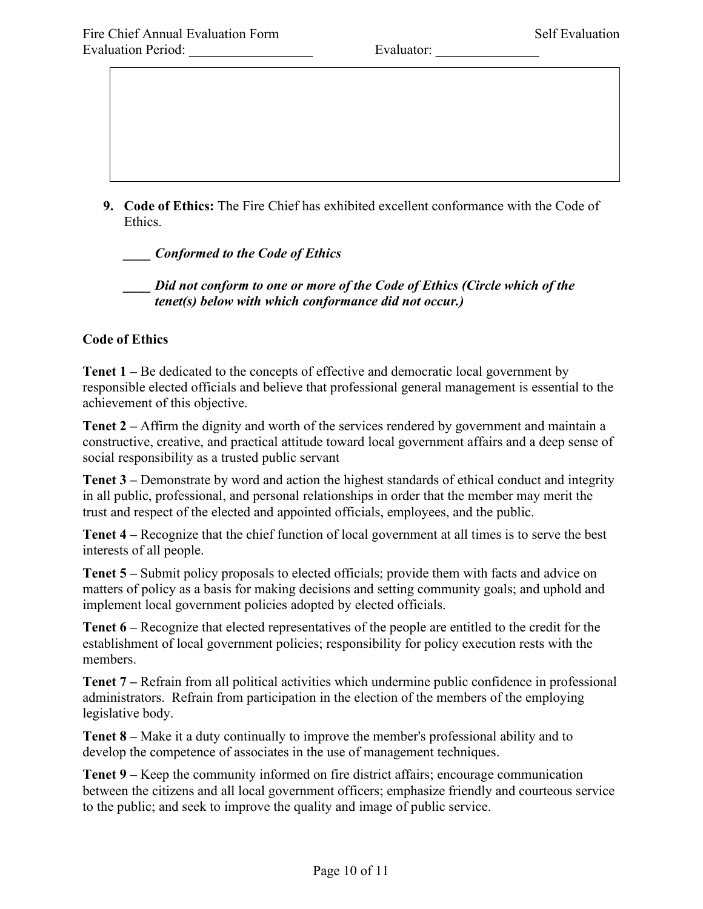**9. Code of Ethics:** The Fire Chief has exhibited excellent conformance with the Code of Ethics.

*\_\_\_\_ Conformed to the Code of Ethics*

*\_\_\_\_ Did not conform to one or more of the Code of Ethics (Circle which of the tenet(s) below with which conformance did not occur.)*

### **Code of Ethics**

**Tenet 1 –** Be dedicated to the concepts of effective and democratic local government by responsible elected officials and believe that professional general management is essential to the achievement of this objective.

**Tenet 2 –** Affirm the dignity and worth of the services rendered by government and maintain a constructive, creative, and practical attitude toward local government affairs and a deep sense of social responsibility as a trusted public servant

**Tenet 3 –** Demonstrate by word and action the highest standards of ethical conduct and integrity in all public, professional, and personal relationships in order that the member may merit the trust and respect of the elected and appointed officials, employees, and the public.

**Tenet 4 –** Recognize that the chief function of local government at all times is to serve the best interests of all people.

**Tenet 5 –** Submit policy proposals to elected officials; provide them with facts and advice on matters of policy as a basis for making decisions and setting community goals; and uphold and implement local government policies adopted by elected officials.

**Tenet 6 –** Recognize that elected representatives of the people are entitled to the credit for the establishment of local government policies; responsibility for policy execution rests with the members.

**Tenet 7 –** Refrain from all political activities which undermine public confidence in professional administrators. Refrain from participation in the election of the members of the employing legislative body.

**Tenet 8 –** Make it a duty continually to improve the member's professional ability and to develop the competence of associates in the use of management techniques.

**Tenet 9 –** Keep the community informed on fire district affairs; encourage communication between the citizens and all local government officers; emphasize friendly and courteous service to the public; and seek to improve the quality and image of public service.